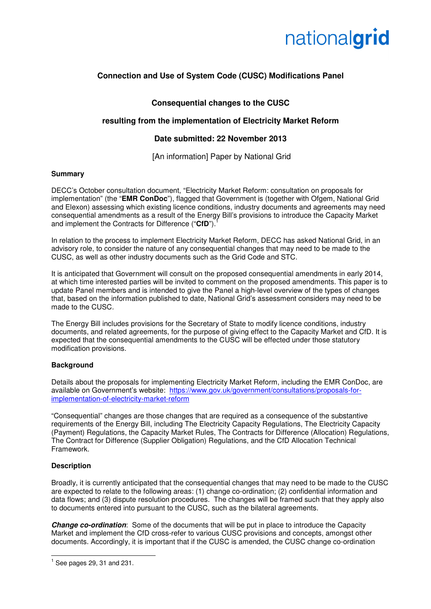

# **Connection and Use of System Code (CUSC) Modifications Panel**

## **Consequential changes to the CUSC**

## **resulting from the implementation of Electricity Market Reform**

## **Date submitted: 22 November 2013**

[An information] Paper by National Grid

#### **Summary**

DECC's October consultation document, "Electricity Market Reform: consultation on proposals for implementation" (the "**EMR ConDoc**"), flagged that Government is (together with Ofgem, National Grid and Elexon) assessing which existing licence conditions, industry documents and agreements may need consequential amendments as a result of the Energy Bill's provisions to introduce the Capacity Market and implement the Contracts for Difference ("CfD").

In relation to the process to implement Electricity Market Reform, DECC has asked National Grid, in an advisory role, to consider the nature of any consequential changes that may need to be made to the CUSC, as well as other industry documents such as the Grid Code and STC.

It is anticipated that Government will consult on the proposed consequential amendments in early 2014, at which time interested parties will be invited to comment on the proposed amendments. This paper is to update Panel members and is intended to give the Panel a high-level overview of the types of changes that, based on the information published to date, National Grid's assessment considers may need to be made to the CUSC.

The Energy Bill includes provisions for the Secretary of State to modify licence conditions, industry documents, and related agreements, for the purpose of giving effect to the Capacity Market and CfD. It is expected that the consequential amendments to the CUSC will be effected under those statutory modification provisions.

#### **Background**

Details about the proposals for implementing Electricity Market Reform, including the EMR ConDoc, are available on Government's website: https://www.gov.uk/government/consultations/proposals-forimplementation-of-electricity-market-reform

"Consequential" changes are those changes that are required as a consequence of the substantive requirements of the Energy Bill, including The Electricity Capacity Regulations, The Electricity Capacity (Payment) Regulations, the Capacity Market Rules, The Contracts for Difference (Allocation) Regulations, The Contract for Difference (Supplier Obligation) Regulations, and the CfD Allocation Technical Framework.

### **Description**

 $\overline{a}$ 

Broadly, it is currently anticipated that the consequential changes that may need to be made to the CUSC are expected to relate to the following areas: (1) change co-ordination; (2) confidential information and data flows; and (3) dispute resolution procedures. The changes will be framed such that they apply also to documents entered into pursuant to the CUSC, such as the bilateral agreements.

**Change co-ordination**: Some of the documents that will be put in place to introduce the Capacity Market and implement the CfD cross-refer to various CUSC provisions and concepts, amongst other documents. Accordingly, it is important that if the CUSC is amended, the CUSC change co-ordination

 $<sup>1</sup>$  See pages 29, 31 and 231.</sup>